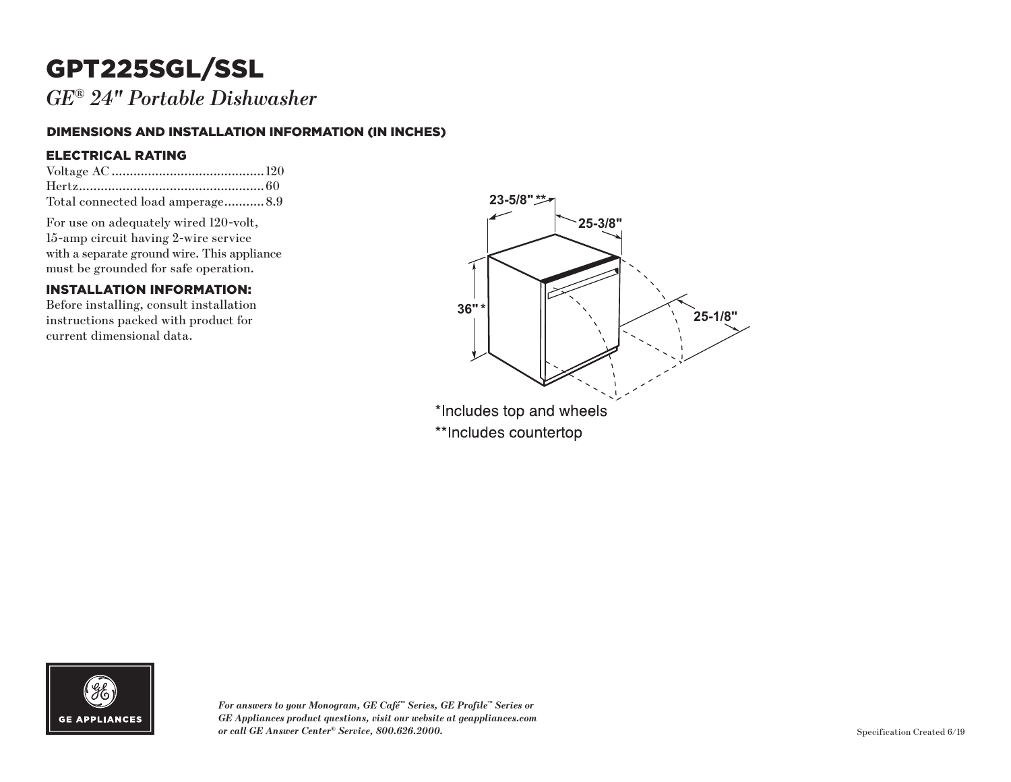## GPT225SGL/SSL

*GE ® 24" Portable Dishwasher*

#### DIMENSIONS AND INSTALLATION INFORMATION (IN INCHES)

#### ELECTRICAL RATING

| Total connected load amperage 8.9 |  |
|-----------------------------------|--|

For use on adequately wired 120-volt, 15-amp circuit having 2-wire service with a separate ground wire. This appliance must be grounded for safe operation.

#### INSTALLATION INFORMATION:

Before installing, consult installation instructions packed with product for current dimensional data.